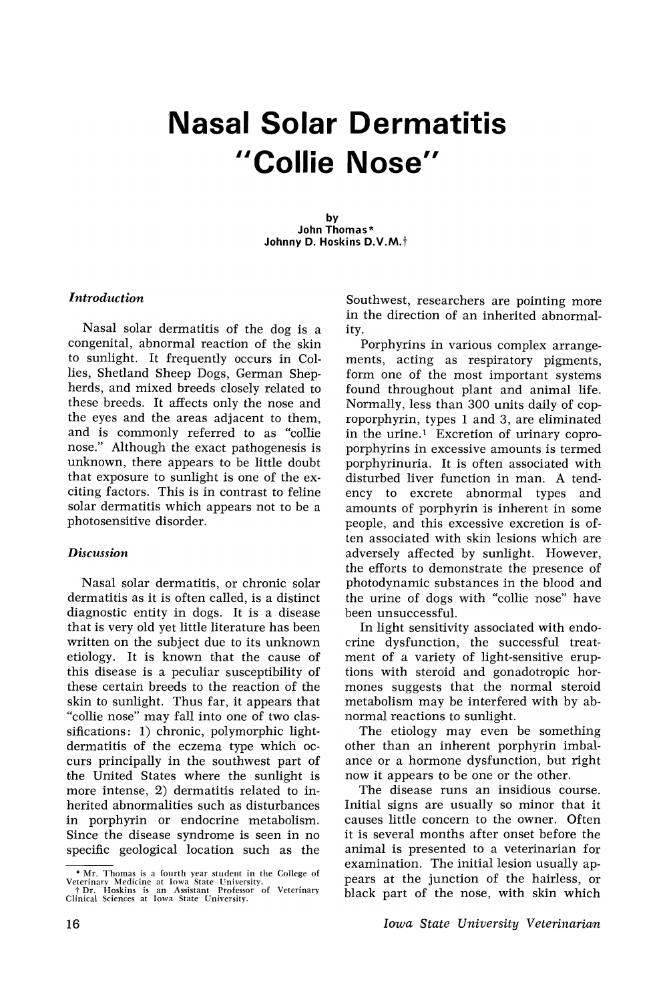## Nasal Solar Dermatitis "Collie Nose"

by John Thomas \* Johnny D. Hoskins D.V.M.<sup>†</sup>

### *Introduction*

Nasal solar dermatitis of the dog is a congenital, abnormal reaction of the skin to sunlight. It frequently occurs in Collies, Shetland Sheep Dogs, German Shepherds, and mixed breeds closely related to these breeds. It affects only the nose and the eyes and the areas adjacent to them, and is commonly referred to as "collie nose." Although the exact pathogenesis is unknown, there appears to be little doubt that exposure to sunlight is one of the exciting factors. This is in contrast to feline solar dermatitis which appears not to be a photosensitive disorder.

#### *Discussion*

Nasal solar dermatitis, or chronic solar dermatitis as it is often called, is a distinct diagnostic entity in dogs. It is a disease that is very old yet little literature has been written on the subject due to its unknown etiology. It is known that the cause of this disease is a peculiar susceptibility of these certain breeds to the reaction of the skin to sunlight. Thus far, it appears that "collie nose" may fall into one of two classifications: 1) chronic, polymorphic lightdermatitis of the eczema type which occurs principally in the southwest part of the United States where the sunlight is more intense, 2) dermatitis related to inherited abnormalities such as disturbances in porphyrin or endocrine metabolism. Since the disease syndrome is seen in no specific geological location such as the

Southwest, researchers are pointing more in the direction of an inherited abnormality.

Porphyrins in various complex arrangements, acting as respiratory pigments, form one of the most important systems found throughout plant and animal life. Normally, less than 300 units daily of coproporphyrin, types 1 and 3, are eliminated in the urine.<sup>1</sup> Excretion of urinary coproporphyrins in excessive amounts is termed porphyrinuria. It is often associated with disturbed liver function in man. A tendency to excrete abnormal types and amounts of porphyrin is inherent in some people, and this excessive excretion is often associated with skin lesions which are adversely affected by sunlight. However, the efforts to demonstrate the presence of photodynamic substances in the blood and the urine of dogs with "collie nose" have been unsuccessful.

In light sensitivity associated with endocrine dysfunction, the successful treatment of a variety of light-sensitive eruptions with steroid and gonadotropic hormones suggests that the normal steroid 'metabolism may be interfered with by abnormal reactions to sunlight.

The etiology may even be something other than an inherent porphyrin imbalance or a hormone dysfunction, but right now it appears to be one or the other.

The disease runs an insidious course. Initial signs are usually so minor that it causes little concern to the owner. Often it is several months after onset before the animal is presented to a veterinarian for examination. The initial lesion usually appears at the junction of the hairless, or black part of the nose, with skin which

 $*$  Mr. Thomas is a fourth year student in the College of Veterinary  $*$  Dr. Hoskins is an Assistant Professor of Veterinary  $*$  Dr. Hoskins is an Assistant Professor of Veterinary Clinical Sciences at Iowa State Universi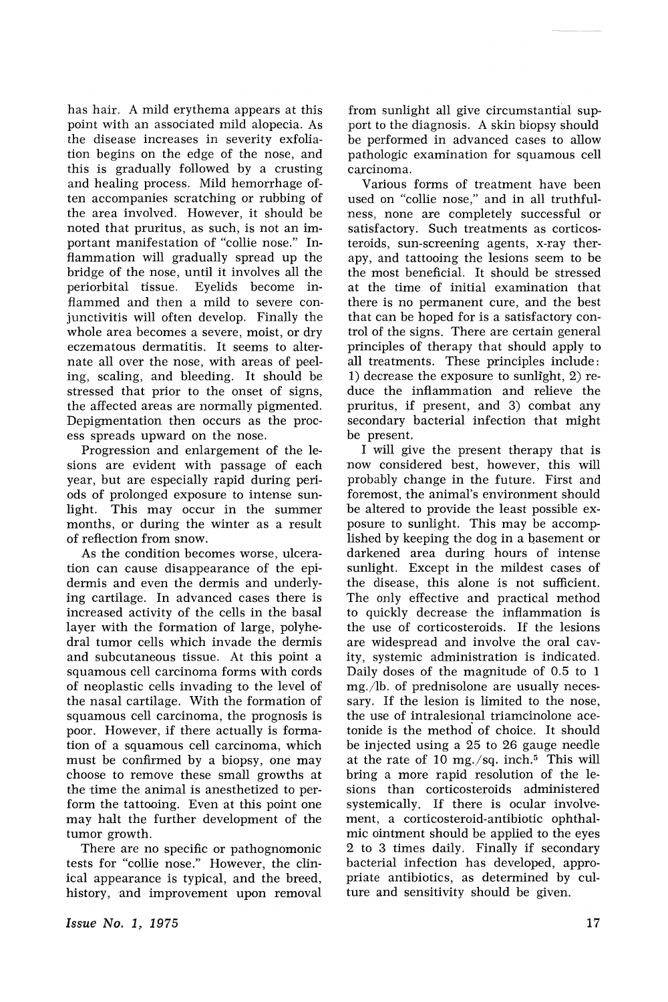has hair. A mild erythema appears at this point with an associated mild alopecia. As the disease increases in severity exfoliation begins on the edge of the nose, and this is gradually followed by a crusting and healing process. Mild hemorrhage often accompanies scratching or rubbing of the area involved. However, it should be noted that pruritus, as such, is not an important manifestation of "collie nose." Inflammation will gradually spread up the bridge of the nose, until it involves all the periorbital tissue. Eyelids become inflammed and then a mild to severe conjunctivitis will often develop. Finally the whole area becomes a severe, moist, or dry eczematous dermatitis. It seems to alternate all over the nose, with areas of peeling, scaling, and bleeding. It should be stressed that prior to the onset of signs, the affected areas are normally pigmented. Depigmentation, then occurs as the process spreads upward on the nose.

Progression and enlargement of the lesions are evident with passage of each year, but are especially rapid during periods of prolonged exposure to intense sun-<br>light. This may occur in the summer This may occur in the summer months, or during the winter as a result of reflection from snow.

As the condition becomes worse, ulceration can cause disappearance of the epidermis and even the dermis and underlying cartilage. In advanced cases there is increased activity of the cells in the basal layer with the formation of large, polyhedral tumor cells which invade the dermis and subcutaneous tissue. At this point a squamous cell carcinoma forms with cords of neoplastic cells invading to the level of the nasal cartilage. With the formation of squamous cell carcinoma, the prognosis is poor. However, if there actually is formation of a squamous cell carcinoma, which must be confirmed by a biopsy, one may choose to remove these small growths at the time the animal is anesthetized to perform the tattooing. Even at this point one may halt the further development of the tumor growth.

There are no specific or pathognomonic tests for "collie nose." However, the clinical appearance is typical, and the breed, history, and improvement upon removal from sunlight all give circumstantial support to the diagnosis. A skin biopsy should be performed in advanced cases to allow pathologic examination for squamous cell carcinoma.

Various forms of treatment, have been used on "collie nose," and in all truthfulness, none are completely successful or satisfactory. Such treatments as corticosteroids, sun-screening agents, x-ray therapy, and tattooing the lesions seem to be the most beneficial. It should be stressed at the time of initial examination that there is no permanent cure, and the best that can be hoped for is a satisfactory control of the signs. There are certain general principles of therapy that should apply to all treatments. These principles include: 1) decrease the exposure to sunlight, 2) reduce the inflammation and relieve the pruritus, if present, and 3) combat any secondary bacterial infection that might be present.

I will give the present therapy that is now considered best, however, this will probably change in the future. First and foremost, the animal's environment should be altered to provide the least possible exposure to sunlight. This may be accomplished by keeping the dog in a basement or darkened area during hours of intense sunlight. Except in the mildest cases of the disease, this alone is not sufficient. The only effective and practical method to quickly decrease the inflammation is the use of corticosteroids. If the lesions are widespread and involve the oral cavity, systemic administration is indicated. Daily doses of the magnitude of 0.5 to 1 mg./lb. of prednisolone are usually necessary. If the lesion is limited to the nose, the use of intralesional triamcinolone acetonide is the method' of choice. It should be injected using a 25 to 26 gauge needle at the rate of 10 mg./sq. inch.<sup>5</sup> This will bring a more rapid resolution of the lesions than corticosteroids administered systemically. If there is ocular involvement, a corticosteroid-antibiotic ophthalmic ointment should be applied to the eyes 2 to 3 times daily. Finally if secondary bacterial infection has developed, appropriate antibiotics, as determined by culture and sensitivity should be given,.